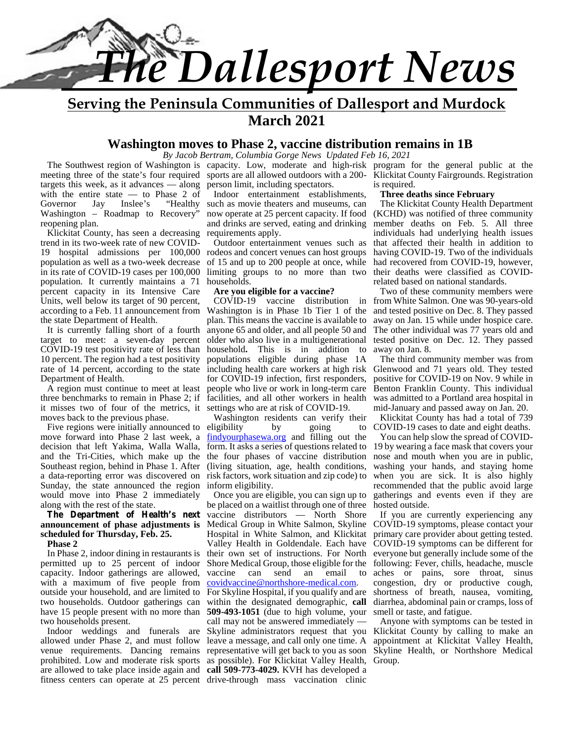

**Serving the Peninsula Communities of Dallesport and Murdock March 2021**

#### **Washington moves to Phase 2, vaccine distribution remains in 1B**

*By Jacob Bertram, Columbia Gorge News Updated Feb 16, 2021*

targets this week, as it advances — along with the entire state — to Phase 2 of Governor  $Jav$  Inslee's "Healthy" Governor Jay Inslee's "Healthy such as movie theaters and museums, can The K Washington – Roadmap to Recovery" reopening plan.

Klickitat County, has seen a decreasing trend in its two-week rate of new COVID- 19 hospital admissions per 100,000 population as well as a two-week decrease in its rate of COVID-19 cases per 100,000 population. It currently maintains a 71 percent capacity in its Intensive Care Units, well below its target of 90 percent, according to a Feb. 11 announcement from the state Department of Health.

It is currently falling short of a fourth target to meet: a seven-day percent COVID-19 test positivity rate of less than 10 percent. The region had a test positivity rate of 14 percent, according to the state Department of Health.

A region must continue to meet at least three benchmarks to remain in Phase 2; if it misses two of four of the metrics, it moves back to the previous phase.

move forward into Phase 2 last week, a decision that left Yakima, Walla Walla, Southeast region, behind in Phase 1. After a data-reporting error was discovered on Sunday, the state announced the region would move into Phase 2 immediately along with the rest of the state.

#### **The Department of Health's next announcement of phase adjustments is scheduled for Thursday, Feb. 25.**

**Phase 2**

In Phase 2, indoor dining in restaurants is permitted up to 25 percent of indoor capacity. Indoor gatherings are allowed, with a maximum of five people from outside your household, and are limited to two households. Outdoor gatherings can have 15 people present with no more than two households present.

Indoor weddings and funerals are allowed under Phase 2, and must follow venue requirements. Dancing remains prohibited. Low and moderate risk sports are allowed to take place inside again and

The Southwest region of Washington is capacity. Low, moderate and high-risk program for the general public at the meeting three of the state's four required sports are all allowed outdoors with a 200- Klickitat County Fairgrounds. Registration person limit, including spectators.

Indoor entertainment establishments, and drinks are served, eating and drinking requirements apply.

Outdoor entertainment venues such as rodeos and concert venues can host groups of 15 and up to 200 people at once, while limiting groups to no more than two households.

#### **Are you eligible for a vaccine?**

COVID-19 vaccine distribution in Washington is in Phase 1b Tier 1 of the plan. This means the vaccine is available to anyone 65 and older, and all people 50 and older who also live in a multigenerational household**.** This is in addition to populations eligible during phase 1A including health care workers at high risk for COVID-19 infection, first responders, people who live or work in long-term care facilities, and all other workers in health settings who are at risk of COVID-19.

Five regions were initially announced to eligibility by going to COVID and the Tri-Cities, which make up the the four phases of vaccine distribution nose and Washington residents can verify their findyourphasewa.org and filling out the form. It asks a series of questions related to (living situation, age, health conditions, risk factors, work situation and zip code) to inform eligibility.

fitness centers can operate at 25 percent drive-through mass vaccination clinic Once you are eligible, you can sign up to be placed on a waitlist through one of three vaccine distributors — North Shore Medical Group in White Salmon, Skyline Hospital in White Salmon, and Klickitat Valley Health in Goldendale. Each have their own set of instructions. For North Shore Medical Group, those eligible for the vaccine can send an email to covidvaccine@northshore-medical.com. For Skyline Hospital, if you qualify and are within the designated demographic, **call 509-493-1051** (due to high volume, your call may not be answered immediately — Skyline administrators request that you leave a message, and call only one time. A as possible). For Klickitat Valley Health, Group.**call 509-773-4029.** KVH has developed a

is required.

#### **Three deaths since February**

now operate at 25 percent capacity. If food (KCHD) was notified of three community The Klickitat County Health Department member deaths on Feb. 5. All three individuals had underlying health issues that affected their health in addition to having COVID-19. Two of the individuals had recovered from COVID-19, however, their deaths were classified as COVIDrelated based on national standards.

> Two of these community members were from White Salmon. One was 90-years-old and tested positive on Dec. 8. They passed away on Jan. 15 while under hospice care. The other individual was 77 years old and tested positive on Dec. 12. They passed away on Jan. 8.

> The third community member was from Glenwood and 71 years old. They tested positive for COVID-19 on Nov. 9 while in Benton Franklin County. This individual was admitted to a Portland area hospital in mid-January and passed away on Jan. 20.

> Klickitat County has had a total of 739 COVID-19 cases to date and eight deaths.

> You can help slow the spread of COVID- 19 by wearing a face mask that covers your nose and mouth when you are in public, washing your hands, and staying home when you are sick. It is also highly recommended that the public avoid large gatherings and events even if they are hosted outside.

> If you are currently experiencing any COVID-19 symptoms, please contact your primary care provider about getting tested. COVID-19 symptoms can be different for everyone but generally include some of the following: Fever, chills, headache, muscle aches or pains, sore throat, sinus congestion, dry or productive cough, shortness of breath, nausea, vomiting, diarrhea, abdominal pain or cramps, loss of smell or taste, and fatigue.

representative will get back to you as soon Skyline Health, or Northshore Medical Anyone with symptoms can be tested in Klickitat County by calling to make an appointment at Klickitat Valley Health,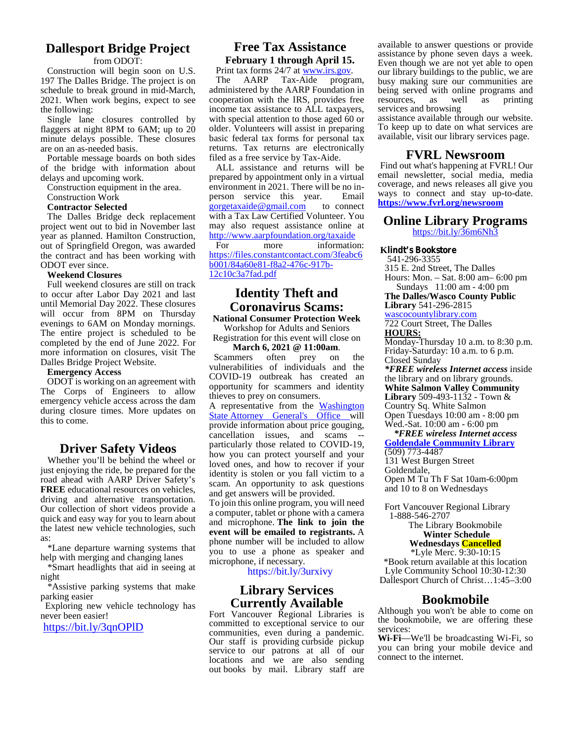#### **Dallesport Bridge Project**

#### from ODOT:

Construction will begin soon on U.S. 197 The Dalles Bridge. The project is on schedule to break ground in mid-March, 2021. When work begins, expect to see the following:

Single lane closures controlled by flaggers at night 8PM to 6AM; up to 20 minute delays possible. These closures are on an as-needed basis.

Portable message boards on both sides of the bridge with information about delays and upcoming work.

Construction equipment in the area.

#### Construction Work

#### **Contractor Selected**

The Dalles Bridge deck replacement project went out to bid in November last year as planned. Hamilton Construction, out of Springfield Oregon, was awarded the contract and has been working with ODOT ever since.

#### **Weekend Closures**

Full weekend closures are still on track to occur after Labor Day 2021 and last until Memorial Day 2022. These closures will occur from 8PM on Thursday evenings to 6AM on Monday mornings. The entire project is scheduled to be completed by the end of June 2022. For more information on closures, visit The Dalles Bridge Project Website.

#### **Emergency Access**

ODOT is working on an agreement with The Corps of Engineers to allow emergency vehicle access across the dam during closure times. More updates on this to come.

#### **Driver Safety Videos**

Whether you'll be behind the wheel or just enjoying the ride, be prepared for the road ahead with AARP Driver Safety's **FREE** educational resources on vehicles, driving and alternative transportation. Our collection of short videos provide a quick and easy way for you to learn about the latest new vehicle technologies, such as:

\*Lane departure warning systems that help with merging and changing lanes

\*Smart headlights that aid in seeing at night

\*Assistive parking systems that make parking easier

Exploring new vehicle technology has never been easier!

https://bit.ly/3qnOPlD

#### **Free Tax Assistance February 1 through April 15.**

Print tax forms 24/7 at www.irs.gov.<br>The AARP Tax-Aide progra Tax-Aide program, administered by the AARP Foundation in cooperation with the IRS, provides free income tax assistance to ALL taxpayers, with special attention to those aged 60 or older. Volunteers will assist in preparing basic federal tax forms for personal tax returns. Tax returns are electronically filed as a free service by Tax-Aide.

ALL assistance and returns will be prepared by appointment only in a virtual environment in 2021. There will be no in person service this year. Email gorgetaxaide@gmail.com to connect with a Tax Law Certified Volunteer. You may also request assistance online at http://www.aarpfoundation.org/taxaide

more information: https://files.constantcontact.com/3feabc6 b001/84a60e81-f8a2-476c-917b- 12c10c3a7fad.pdf

#### **Identity Theft and Coronavirus Scams:**

**National Consumer Protection Week** Workshop for Adults and Seniors

Registration for this event will close on

**March 6, 2021 @ 11:00am.**<br>nmers often prey on Scammers often prey on the vulnerabilities of individuals and the COVID-19 outbreak has created an opportunity for scammers and identity thieves to prey on consumers.

A representative from the Washington State Attorney General's Office will provide information about price gouging, cancellation issues, and scams particularly those related to COVID-19, how you can protect yourself and your loved ones, and how to recover if your identity is stolen or you fall victim to a scam. An opportunity to ask questions and get answers will be provided.

To join this online program, you will need a computer, tablet or phone with a camera and microphone. **The link to join the event will be emailed to registrants.** A phone number will be included to allow you to use a phone as speaker and microphone, if necessary.

https://bit.ly/3urxivy

#### **Library Services Currently Available**

Fort Vancouver Regional Libraries is committed to exceptional service to our communities, even during a pandemic. Our staff is providing curbside pickup service to our patrons at all of our locations and we are also sending out books by mail. Library staff are available to answer questions or provide assistance by phone seven days a week. Even though we are not yet able to open our library buildings to the public, we are busy making sure our communities are being served with online programs and<br>resources. as well as printing resources, as well as printing services and browsing

assistance available through our website. To keep up to date on what services are available, visit our library services page.

#### **FVRL Newsroom**

Find out what's happening at FVRL! Our email newsletter, social media, media coverage, and news releases all give you ways to connect and stay up-to-date. **https://www.fvrl.org/newsroom**

#### **Online Library Programs**

https://bit.ly/36m6Nh3

**Klindt's Bookstore** 541-296-3355 315 E. 2nd Street, The Dalles Hours: Mon. – Sat.8:00 am– 6:00 pm Sundays 11:00 am - 4:00 pm **The Dalles/Wasco County Public Library** 541-296-2815

wascocountylibrary.com 722 Court Street, The Dalles

**HOURS:**

Monday-Thursday 10 a.m. to 8:30 p.m. Friday-Saturday: 10 a.m. to 6 p.m. Closed Sunday

*\*FREE wireless Internet access* inside the library and on library grounds. **White Salmon Valley Community**

**Library** 509-493-1132 - Town & Country Sq. White Salmon

Open Tuesdays 10:00 am - 8:00 pm Wed.-Sat. 10:00 am - 6:00 pm

*\*FREE wireless Internet access*

**Goldendale Community Library** (509) 773-4487

131 West Burgen Street

Goldendale,

Open M Tu Th F Sat 10am-6:00pm and 10 to 8 on Wednesdays

Fort Vancouver Regional Library 1-888-546-2707

The Library Bookmobile **Winter Schedule Wednesdays Cancelled**

\*Lyle Merc. 9:30-10:15 \*Book return available at this location Lyle Community School 10:30-12:30 Dallesport Church of Christ…1:45–3:00

#### **Bookmobile**

Although you won't be able to come on the bookmobile, we are offering these services:

**Wi-Fi**—We'll be broadcasting Wi-Fi, so you can bring your mobile device and connect to the internet.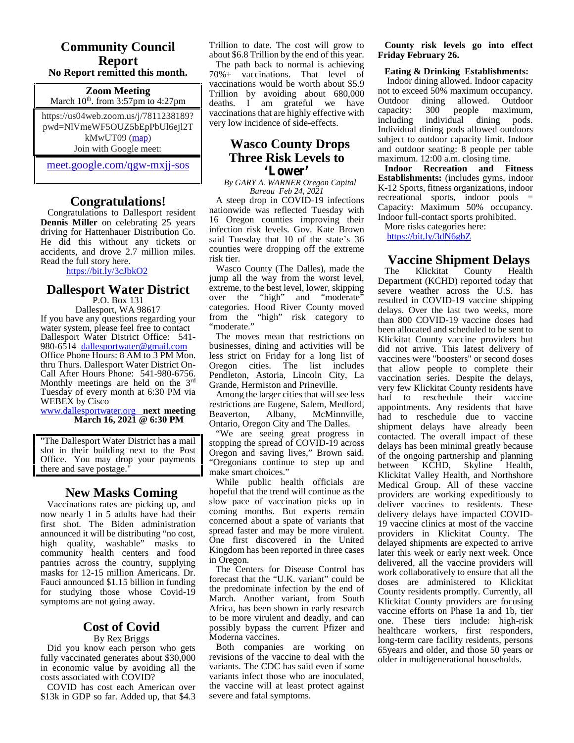#### **Community Council Report No Report remitted this month.**

**Zoom Meeting** March  $10^{th}$ . from 3:57pm to 4:27pm

https://us04web.zoom.us/j/7811238189? pwd=NlVmeWF5OUZ5bEpPbUl6ejl2T kMwUT09 (map) Join with Google meet:

meet.google.com/qgw-mxjj-sos

#### **Congratulations!**

Congratulations to Dallesport resident **Dennis Miller** on celebrating 25 years driving for Hattenhauer Distribution Co. He did this without any tickets or accidents, and drove 2.7 million miles. Read the full story here.

https://bit.ly/3cJbkO2

#### **Dallesport Water District** extreme, to

P.O. Box 131

Dallesport, WA 98617 If you have any questions regarding your water system, please feel free to contact Dallesport Water District Office: 541-<br>980-6514 dallesportwater@gmail.com Office Phone Hours: 8 AM to 3 PM Mon. thru Thurs. Dallesport Water District On-<br>Call After Hours Phone: 541-980-6756.<br>Monthly meetings are held on the 3<sup>rd</sup> Tuesday of every month at 6:30 PM via WEBEX by Cisco

www.dallesportwater.org **next meeting March 16, 2021 @ 6:30 PM**

"The Dallesport Water District has a mail slot in their building next to the Post Office. You may drop your payments there and save postage."

#### **New Masks Coming**

Vaccinations rates are picking up, and now nearly 1 in 5 adults have had their first shot. The Biden administration announced it will be distributing "no cost, high quality, washable" masks to community health centers and food pantries across the country, supplying masks for 12-15 million Americans. Dr. Fauci announced \$1.15 billion in funding for studying those whose Covid-19 symptoms are not going away.

#### **Cost of Covid** By Rex Briggs

Did you know each person who gets fully vaccinated generates about \$30,000 in economic value by avoiding all the costs associated with COVID?

COVID has cost each American over \$13k in GDP so far. Added up, that \$4.3 Trillion to date. The cost will grow to about \$6.8 Trillion by the end of this year.

The path back to normal is achieving 70%+ vaccinations. That level of vaccinations would be worth about \$5.9 Trillion by avoiding about 680,000 deaths. I am grateful we have Outdoor vaccinations that are highly effective with<br>very low incidence of side-effects including very low incidence of side-effects.

#### **Wasco County Drops Three Risk Levels to 'Lower'**

*By GARY A. WARNER Oregon Capital Bureau Feb 24, 2021*

A steep drop in COVID-19 infections nationwide was reflected Tuesday with 16 Oregon counties improving their infection risk levels. Gov. Kate Brown said Tuesday that 10 of the state's 36 counties were dropping off the extreme risk tier.

Wasco County (The Dalles), made the The jump all the way from the worst level, extreme, to the best level, lower, skipping "high" and "moderate" categories. Hood River County moved from the "high" risk category to  $\frac{1}{\tan \theta}$ "moderate."

The moves mean that restrictions on businesses, dining and activities will be less strict on Friday for a long list of Oregon cities. The list includes Pendleton, Astoria, Lincoln City, La Grande, Hermiston and Prineville.

Among the larger cities that will see less restrictions are Eugene, Salem, Medford, Albany, McMinnville, Ontario, Oregon City and The Dalles.

"We are seeing great progress in stopping the spread of COVID-19 across Oregon and saving lives," Brown said. "Oregonians continue to step up and make smart choices."

While public health officials are hopeful that the trend will continue as the slow pace of vaccination picks up in coming months. But experts remain concerned about a spate of variants that spread faster and may be more virulent. One first discovered in the United Kingdom has been reported in three cases in Oregon.

The Centers for Disease Control has forecast that the "U.K. variant" could be the predominate infection by the end of March. Another variant, from South Africa, has been shown in early research to be more virulent and deadly, and can possibly bypass the current Pfizer and Moderna vaccines.

Both companies are working on revisions of the vaccine to deal with the variants. The CDC has said even if some variants infect those who are inoculated, the vaccine will at least protect against severe and fatal symptoms.

#### **County risk levels go into effect Friday February 26.**

#### **Eating & Drinking Establishments:**

Indoor dining allowed. Indoor capacity not to exceed 50% maximum occupancy. Outdoor dining allowed. Outdoor capacity: 300 people maximum, maximum. individual dining pods. Individual dining pods allowed outdoors subject to outdoor capacity limit. Indoor and outdoor seating: 8 people per table maximum. 12:00 a.m. closing time.

**Indoor Recreation and Fitness Establishments:** (includes gyms, indoor K-12 Sports, fitness organizations, indoor recreational sports, indoor pools = Capacity: Maximum 50% occupancy. Indoor full-contact sports prohibited.

More risks categories here: https://bit.ly/3dN6gbZ

### **Vaccine Shipment Delays**

County Health Department (KCHD) reported today that severe weather across the U.S. has resulted in COVID-19 vaccine shipping delays. Over the last two weeks, more than 800 COVID-19 vaccine doses had been allocated and scheduled to be sent to Klickitat County vaccine providers but did not arrive. This latest delivery of vaccines were "boosters" or second doses that allow people to complete their vaccination series. Despite the delays, very few Klickitat County residents have had to reschedule their vaccine appointments. Any residents that have had to reschedule due to vaccine shipment delays have already been contacted. The overall impact of these delays has been minimal greatly because of the ongoing partnership and planning<br>between KCHD, Skyline Health, Skyline Health, Klickitat Valley Health, and Northshore Medical Group. All of these vaccine providers are working expeditiously to deliver vaccines to residents. These delivery delays have impacted COVID- 19 vaccine clinics at most of the vaccine providers in Klickitat County. The delayed shipments are expected to arrive later this week or early next week. Once delivered, all the vaccine providers will work collaboratively to ensure that all the doses are administered to Klickitat County residents promptly. Currently, all Klickitat County providers are focusing vaccine efforts on Phase 1a and 1b, tier one. These tiers include: high-risk healthcare workers, first responders, long-term care facility residents, persons 65years and older, and those 50 years or older in multigenerational households.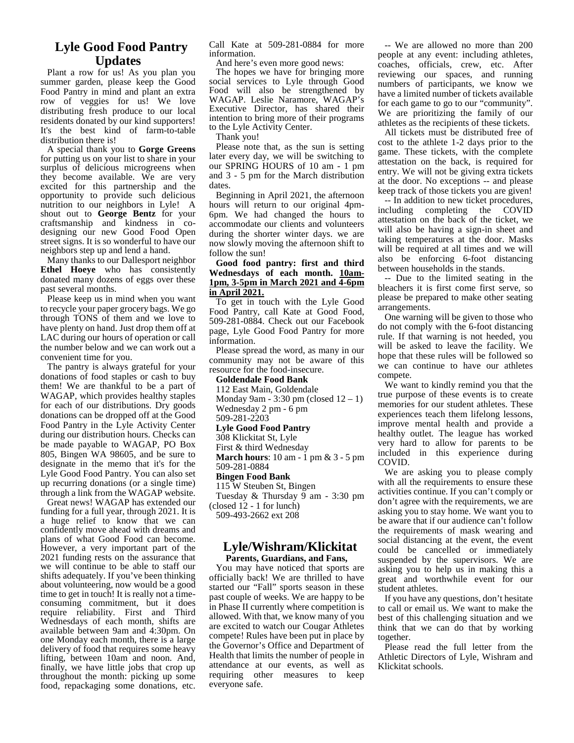#### **Lyle Good Food Pantry Updates**

Plant a row for us! As you plan you summer garden, please keep the Good Food Pantry in mind and plant an extra row of veggies for us! We love distributing fresh produce to our local residents donated by our kind supporters! It's the best kind of farm-to-table distribution there is!

A special thank you to **Gorge Greens** for putting us on your list to share in your surplus of delicious microgreens when they become available. We are very excited for this partnership and the opportunity to provide such delicious nutrition to our neighbors in Lyle! A shout out to **George Bentz** for your craftsmanship and kindness in co- designing our new Good Food Open street signs. It is so wonderful to have our neighbors step up and lend a hand.

Many thanks to our Dallesport neighbor **Ethel Hoeye** who has consistently donated many dozens of eggs over these past several months.

Please keep us in mind when you want to recycle your paper grocery bags. We go through TONS of them and we love to have plenty on hand. Just drop them off at LAC during our hours of operation or call the number below and we can work out a convenient time for you.

The pantry is always grateful for your donations of food staples or cash to buy them! We are thankful to be a part of WAGAP, which provides healthy staples for each of our distributions. Dry goods donations can be dropped off at the Good Food Pantry in the Lyle Activity Center during our distribution hours. Checks can be made payable to WAGAP, PO Box 805, Bingen WA 98605, and be sure to designate in the memo that it's for the Lyle Good Food Pantry. You can also set up recurring donations (or a single time) through a link from the WAGAP website.

Great news! WAGAP has extended our funding for a full year, through 2021. It is a huge relief to know that we can confidently move ahead with dreams and plans of what Good Food can become. However, a very important part of the 2021 funding rests on the assurance that we will continue to be able to staff our shifts adequately. If you've been thinking about volunteering, now would be a good<br>time to get in touch! It is really not a timeconsuming commitment, but it does require reliability. First and Third Wednesdays of each month, shifts are available between 9am and 4:30pm. On one Monday each month, there is a large delivery of food that requires some heavy lifting, between 10am and noon. And, finally, we have little jobs that crop up throughout the month: picking up some food, repackaging some donations, etc. Call Kate at 509-281-0884 for more information.

And here's even more good news:

The hopes we have for bringing more social services to Lyle through Good Food will also be strengthened by WAGAP. Leslie Naramore, WAGAP's Executive Director, has shared their intention to bring more of their programs to the Lyle Activity Center.

Thank you!

Please note that, as the sun is setting later every day, we will be switching to our SPRING HOURS of 10 am - 1 pm and 3 - 5 pm for the March distribution dates.

Beginning in April 2021, the afternoon hours will return to our original 4pm- 6pm. We had changed the hours to accommodate our clients and volunteers during the shorter winter days. we are now slowly moving the afternoon shift to follow the sun!

#### **Good food pantry: first and third Wednesdays of each month. 10am- 1pm, 3-5pm in March 2021 and 4-6pm in April 2021.**

To get in touch with the Lyle Good Food Pantry, call Kate at Good Food, 509-281-0884. Check out our Facebook page, Lyle Good Food Pantry for more information.

Please spread the word, as many in our community may not be aware of this resource for the food-insecure.

#### **Goldendale Food Bank**

112 East Main, Goldendale Monday 9am - 3:30 pm (closed 12 – 1) Wednesday 2 pm - 6 pm 509-281-2203

#### **Lyle Good Food Pantry**

308 Klickitat St, Lyle

First & third Wednesday

**March hours**: 10 am - 1 pm & 3 - 5 pm 509-281-0884

#### **Bingen Food Bank**

115 W Steuben St, Bingen

Tuesday & Thursday 9 am - 3:30 pm (closed 12 - 1 for lunch)

509-493-2662 ext 208

#### **Lyle/Wishram/Klickitat Parents, Guardians, and Fans,**

You may have noticed that sports are officially back! We are thrilled to have started our "Fall" sports season in these past couple of weeks. We are happy to be in Phase II currently where competition is allowed. With that, we know many of you are excited to watch our Cougar Athletes compete! Rules have been put in place by the Governor's Office and Department of Health that limits the number of people in attendance at our events, as well as requiring other measures to keep everyone safe.

-- We are allowed no more than 200 people at any event: including athletes, coaches, officials, crew, etc. After reviewing our spaces, and running numbers of participants, we know we have a limited number of tickets available for each game to go to our "community". We are prioritizing the family of our athletes as the recipients of these tickets.

All tickets must be distributed free of cost to the athlete 1-2 days prior to the game. These tickets, with the complete attestation on the back, is required for entry. We will not be giving extra tickets at the door. No exceptions -- and please keep track of those tickets you are given!

-- In addition to new ticket procedures, including completing the COVID attestation on the back of the ticket, we will also be having a sign-in sheet and taking temperatures at the door. Masks will be required at all times and we will also be enforcing 6-foot distancing between households in the stands.

-- Due to the limited seating in the bleachers it is first come first serve, so please be prepared to make other seating arrangements.

One warning will be given to those who do not comply with the 6-foot distancing rule. If that warning is not heeded, you will be asked to leave the facility. We hope that these rules will be followed so we can continue to have our athletes compete.

We want to kindly remind you that the true purpose of these events is to create memories for our student athletes. These experiences teach them lifelong lessons, improve mental health and provide a healthy outlet. The league has worked very hard to allow for parents to be included in this experience during COVID.

We are asking you to please comply with all the requirements to ensure these activities continue. If you can't comply or don't agree with the requirements, we are asking you to stay home. We want you to be aware that if our audience can't follow the requirements of mask wearing and social distancing at the event, the event could be cancelled or immediately suspended by the supervisors. We are asking you to help us in making this a great and worthwhile event for our student athletes.

If you have any questions, don't hesitate to call or email us. We want to make the best of this challenging situation and we think that we can do that by working together.

Please read the full letter from the Athletic Directors of Lyle, Wishram and Klickitat schools.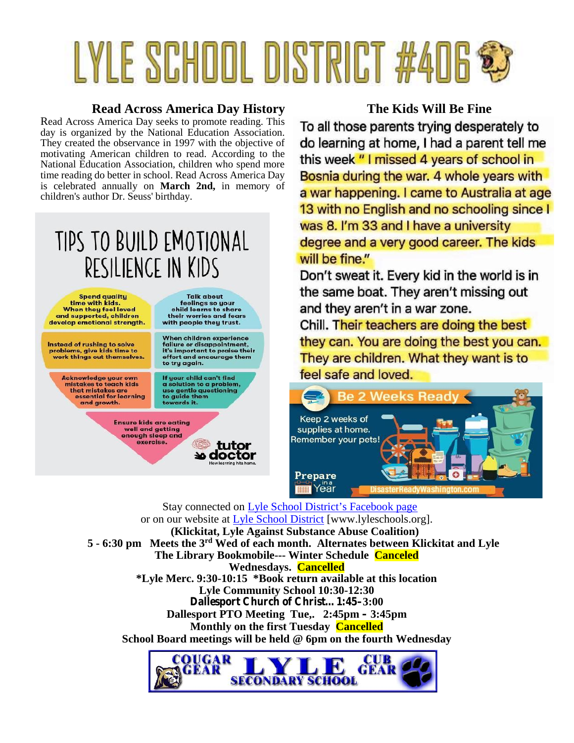# **LYLE SCHOOL DISTRICT #406 &**

#### **Read Across America Day History The Kids Will Be Fine**

Read Across America Day seeks to promote reading. This <br>day is accepted by the National Education Association **To all those parents trying desperately to** day is organized by the National Education Association.<br>They created the observance in 1997 with the objective of **do learning at home, I had a parent tell me** They created the observance in 1997 with the objective of motivating American children to read. According to the this week "I missed 4 years of school in National Education Association, children who spend more<br>time reading do better in school. Read Across America Day **Bosnia during the war. 4 whole years with** time reading do better in school. Read Across America Day is celebrated annually on March 2nd, in memory of **a war happening. I came to Australia at age** children's author Dr. Seuss' birthday.

### TIPS TO BUILD EMOTIONAL RESILIENCE IN KIDS

**Ensure kids are eating** well and getting

enough sleep and

exercise.

Spend quality<br>time with kids. When they feel loved and supported, children develop emotional strength.

Instead of rushing to solve problems, give kids time to<br>work things out themselves.

> Acknowledge your own<br>mistakes to teach kids that mistakes are<br>essential for learning and growth.

**Talk about** feelings so your child learns to share<br>their worries and fears with people they trust.

When children experience failure or disappointment,<br>it's important to praise their<br>effort and encourage them to try again.

If your child can't find<br>a solution to a problem, use gentle questioning<br>to guide them towards it.

> tutor **ಏ doctor**

13 with no English and no schooling since I was 8. I'm 33 and I have a university degree and a very good career. The kids will be fine."

Don't sweat it. Every kid in the world is in the same boat. They aren't missing out and they aren't in a war zone.

Chill. Their teachers are doing the best they can. You are doing the best you can. They are children. What they want is to feel safe and loved.



Stay connected on Lyle School District's Facebook page or on our website at Lyle School District [www.lyleschools.org]. **(Klickitat, Lyle Against Substance Abuse Coalition) 5 - 6:30 pm Meets the 3rd Wed of each month. Alternates between Klickitat and Lyle The Library Bookmobile--- Winter Schedule Canceled Wednesdays. Cancelled \*Lyle Merc. 9:30-10:15 \*Book return available at this location Lyle Community School 10:30-12:30 Dallesport Church of Christ…1:45–3:00 Dallesport PTO Meeting Tue,. 2:45pm – 3:45pm Monthly on the first Tuesday Cancelled School Board meetings will be held @ 6pm on the fourth Wednesday**

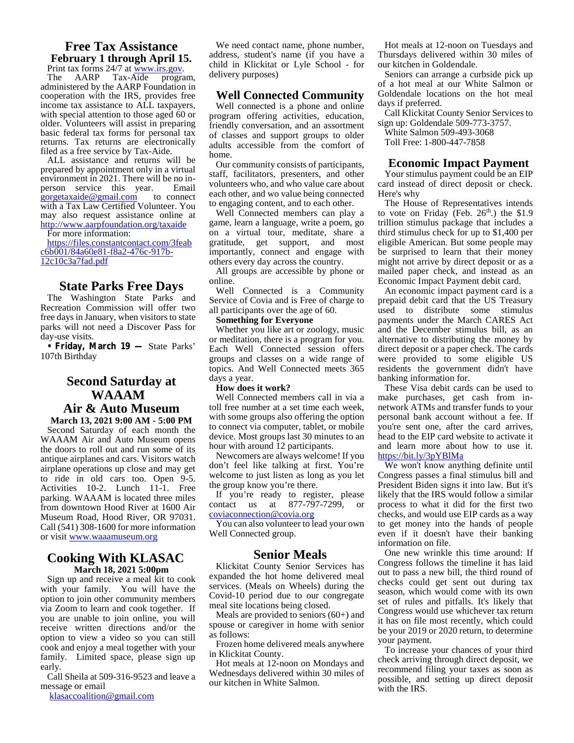#### **Free Tax Assistance February 1 through April 15.**

Print tax forms 24/7 at www.irs.gov.<br>The AARP Tax-Aide program, administered by the AARP Foundation in cooperation with the IRS, provides free income tax assistance to ALL taxpayers, with special attention to those aged 60 or older. Volunteers will assist in preparing basic federal tax forms for personal tax returns. Tax returns are electronically filed as a free service by Tax-Aide.

ALL assistance and returns will be prepared by appointment only in a virtual environment in 2021. There will be no in-<br>person service this year. Email gorgetaxaide@gmail.com to connect with a Tax Law Certified Volunteer. You may also request assistance online at http://www.aarpfoundation.org/taxaide

#### For more information:

https://files.constantcontact.com/3feab gratitude, c6b001/84a60e81-f8a2-476c-917b-<br>12c10c3a7fad.pdf

#### **State Parks Free Days**

The Washington State Parks and Recreation Commission will offer two free days in January, when visitors to state parks will not need a Discover Pass for day-use visits.

**• Friday, March 19 —** State Parks' 107th Birthday

#### **Second Saturday at WAAAM Air & Auto Museum**

**March 13, 2021 9:00 AM - 5:00 PM** Second Saturday of each month the WAAAM Air and Auto Museum opens the doors to roll out and run some of its antique airplanes and cars. Visitors watch airplane operations up close and may get to ride in old cars too. Open 9-5. Activities 10-2. Lunch 11-1. Free parking. WAAAM is located three miles from downtown Hood River at 1600 Air Museum Road, Hood River, OR 97031. Call (541) 308-1600 for more information or visit www.waaamuseum.org

#### **Cooking With KLASAC March 18, 2021 5:00pm**

Sign up and receive a meal kit to cook with your family. You will have the option to join other community members via Zoom to learn and cook together. If you are unable to join online, you will receive written directions and/or the option to view a video so you can still cook and enjoy a meal together with your family. Limited space, please sign up early.

Call Sheila at 509-316-9523 and leave a message or email

klasaccoalition@gmail.com

We need contact name, phone number, address, student's name (if you have a child in Klickitat or Lyle School - for delivery purposes)

#### **Well Connected Community**

Well connected is a phone and online program offering activities, education, friendly conversation, and an assortment of classes and support groups to older adults accessible from the comfort of home.

Our community consists of participants, staff, facilitators, presenters, and other volunteers who, and who value care about each other, and wo value being connected to engaging content, and to each other.

Well Connected members can play a game, learn a language, write a poem, go on a virtual tour, meditate, share a get support, and most importantly, connect and engage with others every day across the country.

All groups are accessible by phone or online.

Well Connected is a Community Service of Covia and is Free of charge to all participants over the age of 60.

#### **Something for Everyone**

Whether you like art or zoology, music or meditation, there is a program for you. Each Well Connected session offers groups and classes on a wide range of topics. And Well Connected meets 365 days a year.

#### **How does it work?**

Well Connected members call in via a toll free number at a set time each week, with some groups also offering the option to connect via computer, tablet, or mobile device. Most groups last 30 minutes to an hour with around 12 participants.

Newcomers are always welcome! If you don't feel like talking at first. You're welcome to just listen as long as you let the group know you're there.

If you're ready to register, please likel contact us at 877-797-7299, or coviaconnection@covia.org

You can also volunteer to lead your own Well Connected group.

#### **Senior Meals**

Klickitat County Senior Services has expanded the hot home delivered meal services. (Meals on Wheels) during the Covid-10 period due to our congregate meal site locations being closed.

Meals are provided to seniors (60+) and spouse or caregiver in home with senior as follows:

Frozen home delivered meals anywhere in Klickitat County.

Hot meals at 12-noon on Mondays and Wednesdays delivered within 30 miles of our kitchen in White Salmon.

Hot meals at 12-noon on Tuesdays and Thursdays delivered within 30 miles of our kitchen in Goldendale.

Seniors can arrange a curbside pick up of a hot meal at our White Salmon or Goldendale locations on the hot meal days if preferred.

Call Klickitat County Senior Services to sign up: Goldendale 509-773-3757.

White Salmon 509-493-3068

Toll Free: 1-800-447-7858

#### **Economic Impact Payment**

Your stimulus payment could be an EIP card instead of direct deposit or check. Here's why

The House of Representatives intends to vote on Friday (Feb.  $26<sup>th</sup>$ .) the \$1.9 trillion stimulus package that includes a third stimulus check for up to \$1,400 per eligible American. But some people may be surprised to learn that their money might not arrive by direct deposit or as a mailed paper check, and instead as an Economic Impact Payment debit card.

An economic impact payment card is a prepaid debit card that the US Treasury used to distribute some stimulus payments under the March CARES Act and the December stimulus bill, as an alternative to distributing the money by direct deposit or a paper check. The cards were provided to some eligible US residents the government didn't have banking information for.

These Visa debit cards can be used to make purchases, get cash from in network ATMs and transfer funds to your personal bank account without a fee. If you're sent one, after the card arrives, head to the EIP card website to activate it and learn more about how to use it. https://bit.ly/3pYBlMa

We won't know anything definite until Congress passes a final stimulus bill and President Biden signs it into law. But it's likely that the IRS would follow a similar process to what it did for the first two checks, and would use EIP cards as a way to get money into the hands of people even if it doesn't have their banking information on file.

One new wrinkle this time around: If Congress follows the timeline it has laid out to pass a new bill, the third round of checks could get sent out during tax season, which would come with its own set of rules and pitfalls. It's likely that Congress would use whichever tax return it has on file most recently, which could be your 2019 or 2020 return, to determine your payment.

To increase your chances of your third check arriving through direct deposit, we recommend filing your taxes as soon as possible, and setting up direct deposit with the IRS.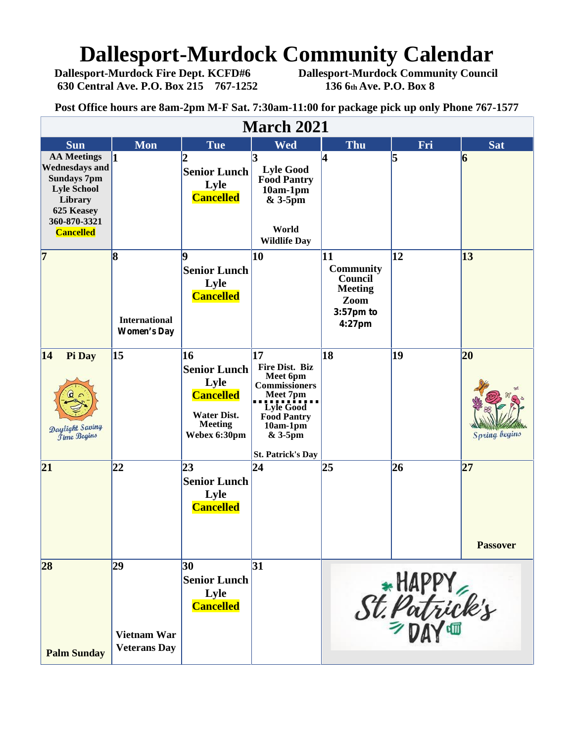## **Dallesport-Murdock Community Calendar**<br>Dallesport-Murdock Fire Dept. KCFD#6 Dallesport-Murdock Community Council

**630 Central Ave. P.O. Box 215 767-1252** 

**Dallesport-Murdock Community Council**<br>136 6th Ave. P.O. Box 8

**Post Office hours are 8am-2pm M-F Sat. 7:30am-11:00 for package pick up only Phone 767-1577**

| <b>March 2021</b>                                                                                                                                    |                                                 |                                                                                                               |                                                                                                                                                                                        |                                                                                    |                 |                            |  |  |  |  |  |
|------------------------------------------------------------------------------------------------------------------------------------------------------|-------------------------------------------------|---------------------------------------------------------------------------------------------------------------|----------------------------------------------------------------------------------------------------------------------------------------------------------------------------------------|------------------------------------------------------------------------------------|-----------------|----------------------------|--|--|--|--|--|
| <b>Sun</b>                                                                                                                                           | <b>Mon</b>                                      | <b>Tue</b>                                                                                                    | <b>Wed</b>                                                                                                                                                                             | Thu                                                                                | Fri             | <b>Sat</b>                 |  |  |  |  |  |
| <b>AA Meetings</b><br><b>Wednesdays and</b><br><b>Sundays 7pm</b><br><b>Lyle School</b><br>Library<br>625 Keasey<br>360-870-3321<br><b>Cancelled</b> | 1                                               | <b>Senior Lunch</b><br>Lyle<br><b>Cancelled</b>                                                               | 3<br><b>Lyle Good</b><br><b>Food Pantry</b><br>$10am-1pm$<br>$&3-5$ pm<br>World<br><b>Wildlife Day</b>                                                                                 | 4                                                                                  | 5               | 6                          |  |  |  |  |  |
| $\overline{7}$                                                                                                                                       | 8<br><b>International</b><br><b>Women's Day</b> | Q<br><b>Senior Lunch</b><br>Lyle<br><b>Cancelled</b>                                                          | 10                                                                                                                                                                                     | 11<br><b>Community</b><br>Council<br><b>Meeting</b><br>Zoom<br>3:57pm to<br>4:27pm | $\overline{12}$ | $\vert 13 \vert$           |  |  |  |  |  |
| 14<br>Pi Day<br>Daylight Saving<br><b><i><u>Jime Begins</u></i></b>                                                                                  | $\vert 15 \vert$                                | 16<br><b>Senior Lunch</b><br>Lyle<br><b>Cancelled</b><br><b>Water Dist.</b><br><b>Meeting</b><br>Webex 6:30pm | 17<br><b>Fire Dist. Biz</b><br>Meet 6pm<br><b>Commissioners</b><br>Meet 7pm<br><b>Lyle Good</b><br><b>Food Pantry</b><br>$10am-1pm$<br>$&3-5\,\mathrm{pm}$<br><b>St. Patrick's Day</b> | 18                                                                                 | 19              | 20<br><b>Spring begins</b> |  |  |  |  |  |
| 21                                                                                                                                                   | 22                                              | 23<br><b>Senior Lunch</b><br>Lyle<br><b>Cancelled</b>                                                         | $\overline{24}$                                                                                                                                                                        | 25                                                                                 | 26              | 27<br><b>Passover</b>      |  |  |  |  |  |
| 28<br><b>Palm Sunday</b>                                                                                                                             | 29<br><b>Vietnam War</b><br><b>Veterans Day</b> | 30<br><b>Senior Lunch</b><br>Lyle<br><b>Cancelled</b>                                                         | 31                                                                                                                                                                                     |                                                                                    | St. Patrick's   |                            |  |  |  |  |  |